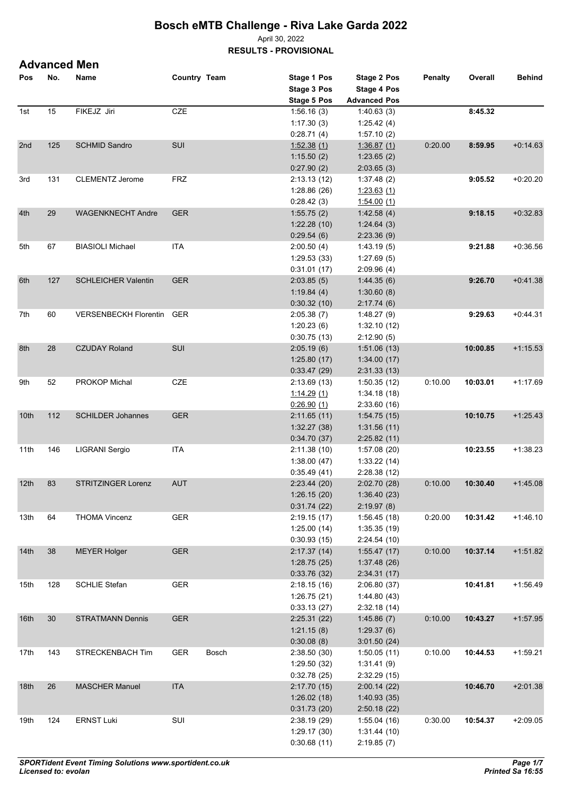April 30, 2022

**RESULTS - PROVISIONAL**

| <b>Advanced Men</b> |  |
|---------------------|--|
|---------------------|--|

| Pos              | No. | Name                         | Country Team |       | Stage 1 Pos<br>Stage 3 Pos<br><b>Stage 5 Pos</b> | <b>Stage 2 Pos</b><br>Stage 4 Pos<br><b>Advanced Pos</b> | Penalty | Overall  | <b>Behind</b> |
|------------------|-----|------------------------------|--------------|-------|--------------------------------------------------|----------------------------------------------------------|---------|----------|---------------|
| 1st              | 15  | FIKEJZ Jiri                  | CZE          |       | 1:56.16(3)                                       | 1:40.63(3)                                               |         | 8:45.32  |               |
|                  |     |                              |              |       | 1:17.30(3)                                       | 1.25.42(4)                                               |         |          |               |
|                  |     |                              |              |       | 0:28.71(4)                                       | 1:57.10(2)                                               |         |          |               |
| 2nd              | 125 | <b>SCHMID Sandro</b>         | SUI          |       | 1:52.38(1)                                       | 1:36.87(1)                                               | 0.20.00 | 8:59.95  | $+0.14.63$    |
|                  |     |                              |              |       | 1:15.50(2)                                       | 1:23.65(2)                                               |         |          |               |
|                  |     |                              |              |       | 0:27.90(2)                                       | 2:03.65(3)                                               |         |          |               |
| 3rd              | 131 | <b>CLEMENTZ Jerome</b>       | <b>FRZ</b>   |       | 2:13.13(12)                                      | 1.37.48(2)                                               |         | 9:05.52  | $+0:20.20$    |
|                  |     |                              |              |       | 1.28.86(26)                                      | 1:23.63(1)                                               |         |          |               |
|                  |     |                              |              |       | 0.28.42(3)                                       | 1.54.00(1)                                               |         |          |               |
| 4th              | 29  | <b>WAGENKNECHT Andre</b>     | <b>GER</b>   |       | 1:55.75(2)                                       | 1.42.58(4)                                               |         | 9:18.15  | $+0.32.83$    |
|                  |     |                              |              |       | 1:22.28(10)                                      | 1.24.64(3)                                               |         |          |               |
|                  |     |                              |              |       | 0.29.54(6)                                       | 2.23.36(9)                                               |         |          |               |
| 5th              | 67  | <b>BIASIOLI Michael</b>      | <b>ITA</b>   |       | 2:00.50(4)                                       | 1:43.19(5)                                               |         | 9:21.88  | $+0.36.56$    |
|                  |     |                              |              |       | 1:29.53(33)                                      | 1:27.69(5)                                               |         |          |               |
|                  |     |                              |              |       | 0.31.01(17)                                      | 2:09.96(4)                                               |         |          |               |
| 6th              | 127 | <b>SCHLEICHER Valentin</b>   | <b>GER</b>   |       | 2:03.85(5)                                       | 1.44.35(6)                                               |         | 9:26.70  | $+0.41.38$    |
|                  |     |                              |              |       | 1:19.84(4)                                       | 1:30.60(8)                                               |         |          |               |
|                  |     |                              |              |       | 0:30.32(10)                                      | 2:17.74(6)                                               |         |          |               |
| 7th              | 60  | <b>VERSENBECKH Florentin</b> | GER          |       | 2:05.38(7)                                       | 1.48.27(9)                                               |         | 9:29.63  | $+0.44.31$    |
|                  |     |                              |              |       |                                                  | 1:32.10(12)                                              |         |          |               |
|                  |     |                              |              |       | 1:20.23(6)                                       |                                                          |         |          |               |
|                  |     |                              |              |       | 0.30.75(13)                                      | 2:12.90(5)                                               |         |          |               |
| 8th              | 28  | <b>CZUDAY Roland</b>         | SUI          |       | 2:05.19(6)                                       | 1:51.06(13)                                              |         | 10:00.85 | $+1:15.53$    |
|                  |     |                              |              |       | 1:25.80(17)                                      | 1:34.00(17)                                              |         |          |               |
|                  |     |                              |              |       | 0.33.47(29)                                      | 2:31.33(13)                                              |         |          |               |
| 9th              | 52  | PROKOP Michal                | <b>CZE</b>   |       | 2:13.69(13)                                      | 1:50.35(12)                                              | 0.10.00 | 10:03.01 | $+1:17.69$    |
|                  |     |                              |              |       | 1:14.29(1)                                       | 1.34.18(18)                                              |         |          |               |
|                  |     |                              |              |       | 0.26.90(1)                                       | 2:33.60(16)                                              |         |          |               |
| 10th             | 112 | <b>SCHILDER Johannes</b>     | <b>GER</b>   |       | 2:11.65(11)                                      | 1:54.75(15)                                              |         | 10:10.75 | $+1:25.43$    |
|                  |     |                              |              |       | 1:32.27(38)                                      | 1:31.56(11)                                              |         |          |               |
|                  |     |                              |              |       | 0.34.70(37)                                      | 2:25.82(11)                                              |         |          |               |
| 11th             | 146 | LIGRANI Sergio               | <b>ITA</b>   |       | 2:11.38(10)                                      | 1:57.08(20)                                              |         | 10:23.55 | $+1:38.23$    |
|                  |     |                              |              |       | 1:38.00(47)                                      | 1:33.22(14)                                              |         |          |               |
|                  |     |                              |              |       | 0:35.49(41)                                      | 2:28.38(12)                                              |         |          |               |
| 12 <sup>th</sup> | 83  | <b>STRITZINGER Lorenz</b>    | <b>AUT</b>   |       | 2:23.44(20)                                      | 2:02.70(28)                                              | 0:10.00 | 10:30.40 | $+1.45.08$    |
|                  |     |                              |              |       | 1:26.15 (20)                                     | 1:36.40(23)                                              |         |          |               |
|                  |     |                              |              |       | 0:31.74(22)                                      | 2:19.97(8)                                               |         |          |               |
| 13th             | 64  | <b>THOMA Vincenz</b>         | <b>GER</b>   |       | 2:19.15(17)                                      | 1:56.45(18)                                              | 0:20.00 | 10:31.42 | $+1.46.10$    |
|                  |     |                              |              |       | 1:25.00(14)                                      | 1:35.35(19)                                              |         |          |               |
|                  |     |                              |              |       | 0:30.93(15)                                      | 2:24.54(10)                                              |         |          |               |
| 14th             | 38  | <b>MEYER Holger</b>          | <b>GER</b>   |       | 2:17.37(14)                                      | 1:55.47(17)                                              | 0:10.00 | 10:37.14 | $+1:51.82$    |
|                  |     |                              |              |       | 1:28.75(25)                                      | 1:37.48(26)                                              |         |          |               |
|                  |     |                              |              |       | 0:33.76(32)                                      | 2:34.31(17)                                              |         |          |               |
| 15th             | 128 | <b>SCHLIE Stefan</b>         | <b>GER</b>   |       | 2:18.15(16)                                      | 2:06.80(37)                                              |         | 10:41.81 | $+1:56.49$    |
|                  |     |                              |              |       | 1:26.75(21)                                      | 1:44.80(43)                                              |         |          |               |
|                  |     |                              |              |       | 0:33.13(27)                                      | 2:32.18(14)                                              |         |          |               |
| 16 <sup>th</sup> | 30  | <b>STRATMANN Dennis</b>      | <b>GER</b>   |       | 2:25.31(22)                                      | 1:45.86(7)                                               | 0:10.00 | 10:43.27 | $+1:57.95$    |
|                  |     |                              |              |       | 1:21.15(8)                                       | 1:29.37(6)                                               |         |          |               |
|                  |     |                              |              |       | 0:30.08(8)                                       | 3:01.50(24)                                              |         |          |               |
| 17th             | 143 | STRECKENBACH Tim             | <b>GER</b>   | Bosch | 2:38.50(30)                                      | 1:50.05(11)                                              | 0:10.00 | 10:44.53 | $+1.59.21$    |
|                  |     |                              |              |       | 1:29.50(32)                                      | 1:31.41(9)                                               |         |          |               |
|                  |     |                              |              |       | 0.32.78(25)                                      | 2:32.29(15)                                              |         |          |               |
| 18 <sub>th</sub> | 26  | <b>MASCHER Manuel</b>        | <b>ITA</b>   |       | 2:17.70(15)                                      | 2:00.14(22)                                              |         | 10:46.70 | $+2.01.38$    |
|                  |     |                              |              |       | 1:26.02(18)                                      | 1:40.93(35)                                              |         |          |               |
|                  |     |                              |              |       | 0:31.73(20)                                      | 2:50.18(22)                                              |         |          |               |
| 19th             | 124 | <b>ERNST Luki</b>            | SUI          |       | 2:38.19(29)                                      | 1:55.04(16)                                              | 0:30.00 | 10:54.37 | $+2:09.05$    |
|                  |     |                              |              |       | 1:29.17(30)                                      | 1:31.44(10)                                              |         |          |               |
|                  |     |                              |              |       | 0.30.68(11)                                      | 2:19.85(7)                                               |         |          |               |
|                  |     |                              |              |       |                                                  |                                                          |         |          |               |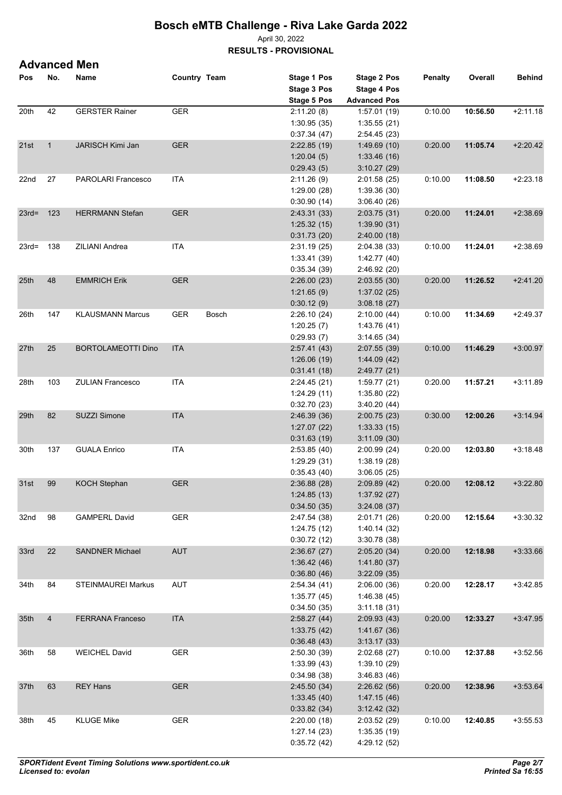April 30, 2022

**RESULTS - PROVISIONAL**

|                  |              | <b>Advanced Men</b>       |              |       |                                   |                             |                |          |               |
|------------------|--------------|---------------------------|--------------|-------|-----------------------------------|-----------------------------|----------------|----------|---------------|
| Pos              | No.          | Name                      | Country Team |       | Stage 1 Pos<br><b>Stage 3 Pos</b> | Stage 2 Pos<br>Stage 4 Pos  | <b>Penalty</b> | Overall  | <b>Behind</b> |
|                  |              |                           |              |       | Stage 5 Pos                       | <b>Advanced Pos</b>         |                |          |               |
| 20th             | 42           | <b>GERSTER Rainer</b>     | <b>GER</b>   |       | 2:11.20(8)                        | 1:57.01(19)                 | 0.10.00        | 10:56.50 | $+2:11.18$    |
|                  |              |                           |              |       | 1:30.95(35)                       | 1:35.55(21)                 |                |          |               |
|                  |              |                           |              |       | 0.37.34(47)                       | 2:54.45(23)                 |                |          |               |
| 21st             | $\mathbf{1}$ | JARISCH Kimi Jan          | <b>GER</b>   |       | 2:22.85(19)                       | 1.49.69(10)                 | 0.20.00        | 11:05.74 | $+2:20.42$    |
|                  |              |                           |              |       | 1:20.04(5)                        | 1:33.46(16)                 |                |          |               |
|                  |              |                           |              |       | 0.29.43(5)                        | 3:10.27(29)                 |                |          |               |
| 22nd             | 27           | <b>PAROLARI Francesco</b> | <b>ITA</b>   |       | 2:11.26(9)                        | 2:01.58(25)                 | 0:10.00        | 11:08.50 | $+2:23.18$    |
|                  |              |                           |              |       | 1:29.00(28)                       | 1:39.36(30)                 |                |          |               |
|                  |              |                           |              |       | 0.30.90(14)                       | 3.06.40(26)                 |                |          |               |
| $23rd = 123$     |              | <b>HERRMANN Stefan</b>    | <b>GER</b>   |       | 2.43.31 (33)                      | 2:03.75(31)                 | 0.20.00        | 11:24.01 | $+2:38.69$    |
|                  |              |                           |              |       | 1:25.32(15)                       | 1:39.90(31)                 |                |          |               |
|                  |              |                           |              |       | 0.31.73(20)                       | 2:40.00(18)                 |                |          |               |
| $23rd=$          | 138          | ZILIANI Andrea            | <b>ITA</b>   |       | 2:31.19(25)                       | 2:04.38(33)                 | 0.10.00        | 11:24.01 | $+2:38.69$    |
|                  |              |                           |              |       | 1.33.41 (39)                      | 1:42.77(40)                 |                |          |               |
|                  |              |                           |              |       | 0:35.34(39)                       | 2:46.92(20)                 |                |          |               |
| 25 <sub>th</sub> | 48           | <b>EMMRICH Erik</b>       | <b>GER</b>   |       | 2:26.00(23)                       | 2:03.55(30)                 | 0.20.00        | 11:26.52 | $+2.41.20$    |
|                  |              |                           |              |       | 1:21.65(9)                        | 1:37.02(25)                 |                |          |               |
|                  |              |                           |              |       | 0:30.12(9)                        | 3:08.18(27)                 |                |          |               |
| 26th             | 147          | <b>KLAUSMANN Marcus</b>   | <b>GER</b>   | Bosch | 2:26.10(24)                       | 2:10.00(44)                 | 0.10.00        | 11:34.69 | $+2:49.37$    |
|                  |              |                           |              |       | 1:20.25(7)                        | 1:43.76(41)                 |                |          |               |
|                  |              |                           |              |       | 0:29.93(7)                        | 3.14.65(34)                 |                |          |               |
| 27th             | 25           | <b>BORTOLAMEOTTI Dino</b> | <b>ITA</b>   |       | 2.57.41(43)                       | 2:07.55(39)                 | 0.10.00        | 11:46.29 | $+3:00.97$    |
|                  |              |                           |              |       | 1:26.06(19)                       | 1.44.09(42)                 |                |          |               |
|                  |              |                           |              |       | 0.31.41(18)                       | 2:49.77(21)                 |                |          |               |
| 28th             | 103          | <b>ZULIAN Francesco</b>   | <b>ITA</b>   |       | 2:24.45(21)                       | 1:59.77(21)                 | 0.20.00        | 11:57.21 | $+3:11.89$    |
|                  |              |                           |              |       | 1:24.29(11)                       | 1:35.80(22)                 |                |          |               |
|                  |              |                           |              |       | 0:32.70(23)                       | 3:40.20(44)                 |                |          |               |
| 29th             | 82           | SUZZI Simone              | <b>ITA</b>   |       | 2:46.39(36)                       | 2:00.75(23)                 | 0:30.00        | 12:00.26 | $+3.14.94$    |
|                  |              |                           |              |       | 1:27.07(22)                       | 1:33.33(15)                 |                |          |               |
|                  |              |                           |              |       | 0:31.63(19)                       | 3:11.09(30)                 |                |          |               |
| 30th             | 137          | <b>GUALA Enrico</b>       | <b>ITA</b>   |       | 2:53.85(40)                       | 2:00.99(24)                 | 0.20.00        | 12:03.80 | $+3:18.48$    |
|                  |              |                           |              |       | 1:29.29(31)                       | 1:38.19(28)                 |                |          |               |
|                  |              |                           |              |       | 0.35.43(40)                       | 3:06.05(25)                 |                |          |               |
| 31st 99          |              | <b>KOCH Stephan</b>       | GER          |       | 2:36.88(28)                       | 2:09.89 (42)                | 0:20.00        | 12:08.12 | $+3:22.80$    |
|                  |              |                           |              |       | 1:24.85(13)                       | 1:37.92(27)                 |                |          |               |
|                  |              |                           |              |       | 0.34.50(35)                       | 3:24.08(37)                 |                |          |               |
| 32nd             | 98           | <b>GAMPERL David</b>      | <b>GER</b>   |       | 2.47.54 (38)                      | 2:01.71 (26)                | 0.20.00        | 12:15.64 | $+3:30.32$    |
|                  |              |                           |              |       | 1:24.75(12)                       | 1:40.14(32)                 |                |          |               |
|                  |              |                           |              |       | 0:30.72(12)                       | 3:30.78(38)                 |                |          |               |
| 33rd             | 22           | <b>SANDNER Michael</b>    | <b>AUT</b>   |       | 2:36.67(27)                       | 2:05.20(34)                 | 0.20.00        | 12:18.98 | $+3.33.66$    |
|                  |              |                           |              |       | 1.36.42(46)                       | 1.41.80(37)                 |                |          |               |
|                  |              |                           |              |       | 0.36.80(46)                       | 3:22.09(35)                 |                |          |               |
| 34th             | 84           | <b>STEINMAUREI Markus</b> | <b>AUT</b>   |       | 2:54.34(41)                       | 2:06.00(36)                 | 0.20.00        | 12:28.17 | $+3:42.85$    |
|                  |              |                           |              |       | 1:35.77(45)                       | 1.46.38(45)                 |                |          |               |
|                  |              |                           |              |       | 0.34.50(35)                       | 3:11.18(31)                 |                |          |               |
| 35th             | 4            | <b>FERRANA Franceso</b>   | <b>ITA</b>   |       | 2:58.27(44)                       | 2:09.93(43)                 | 0:20.00        | 12:33.27 | $+3.47.95$    |
|                  |              |                           |              |       | 1.33.75(42)                       | 1:41.67(36)                 |                |          |               |
|                  |              |                           |              |       | 0.36.48(43)                       | 3:13.17(33)                 |                |          |               |
| 36th             | 58           | <b>WEICHEL David</b>      | <b>GER</b>   |       | 2:50.30 (39)                      | 2:02.68(27)<br>1:39.10 (29) | 0:10.00        | 12:37.88 | $+3:52.56$    |
|                  |              |                           |              |       | 1:33.99(43)                       |                             |                |          |               |
|                  |              |                           |              |       | 0.34.98(38)                       | 3.46.83(46)                 |                |          |               |
| 37th             | 63           | <b>REY Hans</b>           | <b>GER</b>   |       | 2.45.50(34)                       | 2:26.62(56)                 | 0.20.00        | 12:38.96 | $+3.53.64$    |
|                  |              |                           |              |       | 1:33.45(40)                       | 1.47.15(46)<br>3:12.42(32)  |                |          |               |
|                  | 45           | <b>KLUGE Mike</b>         | ${\sf GER}$  |       | 0.33.82(34)                       |                             | 0.10.00        |          |               |
| 38th             |              |                           |              |       | 2:20.00(18)<br>1.27.14(23)        | 2:03.52(29)<br>1:35.35(19)  |                | 12:40.85 | $+3:55.53$    |
|                  |              |                           |              |       |                                   |                             |                |          |               |
|                  |              |                           |              |       | 0.35.72(42)                       | 4:29.12 (52)                |                |          |               |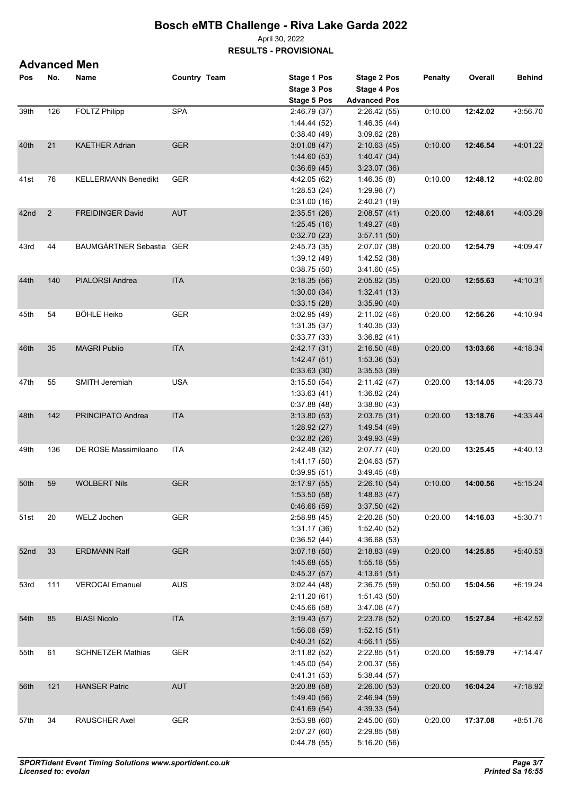April 30, 2022 **RESULTS - PROVISIONAL**

### **Advanced Men**

| Pos  | No. | Name                       | Country Team | Stage 1 Pos  | <b>Stage 2 Pos</b>  | <b>Penalty</b> | Overall  | <b>Behind</b> |
|------|-----|----------------------------|--------------|--------------|---------------------|----------------|----------|---------------|
|      |     |                            |              | Stage 3 Pos  | <b>Stage 4 Pos</b>  |                |          |               |
|      |     |                            |              | Stage 5 Pos  | <b>Advanced Pos</b> |                |          |               |
| 39th | 126 | <b>FOLTZ Philipp</b>       | <b>SPA</b>   | 2:46.79 (37) | 2:26.42(55)         | 0:10.00        | 12:42.02 | $+3:56.70$    |
|      |     |                            |              | 1:44.44 (52) | 1:46.35(44)         |                |          |               |
|      |     |                            |              | 0.38.40(49)  | 3:09.62(28)         |                |          |               |
| 40th | 21  | <b>KAETHER Adrian</b>      | <b>GER</b>   | 3:01.08(47)  | 2:10.63(45)         | 0:10.00        | 12:46.54 | $+4.01.22$    |
|      |     |                            |              | 1.44.60(53)  | 1.40.47(34)         |                |          |               |
|      |     |                            |              |              |                     |                |          |               |
|      |     |                            |              | 0.36.69(45)  | 3:23.07(36)         |                |          |               |
| 41st | 76  | <b>KELLERMANN Benedikt</b> | <b>GER</b>   | 4:42.05 (62) | 1:46.35(8)          | 0:10.00        | 12:48.12 | $+4.02.80$    |
|      |     |                            |              | 1:28.53(24)  | 1:29.98(7)          |                |          |               |
|      |     |                            |              | 0.31.00(16)  | 2:40.21(19)         |                |          |               |
| 42nd | 2   | <b>FREIDINGER David</b>    | <b>AUT</b>   | 2:35.51(26)  | 2:08.57(41)         | 0:20.00        | 12:48.61 | $+4.03.29$    |
|      |     |                            |              | 1:25.45(16)  | 1.49.27(48)         |                |          |               |
|      |     |                            |              | 0.32.70(23)  | 3:57.11(50)         |                |          |               |
| 43rd | 44  | BAUMGÄRTNER Sebastia GER   |              | 2:45.73 (35) | 2:07.07 (38)        | 0:20.00        | 12:54.79 | +4:09.47      |
|      |     |                            |              | 1:39.12(49)  | 1:42.52 (38)        |                |          |               |
|      |     |                            |              | 0:38.75(50)  | 3:41.60(45)         |                |          |               |
| 44th | 140 | PIALORSI Andrea            | <b>ITA</b>   | 3:18.35(56)  | 2:05.82(35)         | 0:20.00        | 12:55.63 | $+4:10.31$    |
|      |     |                            |              | 1:30.00(34)  | 1.32.41(13)         |                |          |               |
|      |     |                            |              | 0.33.15(28)  | 3:35.90(40)         |                |          |               |
| 45th | 54  | <b>BÖHLE Heiko</b>         | <b>GER</b>   | 3.02.95(49)  | 2:11.02(46)         | 0:20.00        | 12:56.26 | $+4:10.94$    |
|      |     |                            |              |              |                     |                |          |               |
|      |     |                            |              | 1:31.35(37)  | 1:40.35(33)         |                |          |               |
|      |     |                            |              | 0:33.77(33)  | 3:36.82(41)         |                |          |               |
| 46th | 35  | <b>MAGRI Publio</b>        | <b>ITA</b>   | 2:42.17(31)  | 2:16.50(48)         | 0:20.00        | 13:03.66 | $+4:18.34$    |
|      |     |                            |              | 1.42.47(51)  | 1:53.36(53)         |                |          |               |
|      |     |                            |              | 0.33.63(30)  | 3:35.53(39)         |                |          |               |
| 47th | 55  | SMITH Jeremiah             | <b>USA</b>   | 3:15.50(54)  | 2:11.42(47)         | 0:20.00        | 13:14.05 | $+4:28.73$    |
|      |     |                            |              | 1:33.63(41)  | 1:36.82(24)         |                |          |               |
|      |     |                            |              | 0.37.88(48)  | 3:38.80(43)         |                |          |               |
| 48th | 142 | PRINCIPATO Andrea          | <b>ITA</b>   | 3:13.80(53)  | 2:03.75(31)         | 0:20.00        | 13:18.76 | $+4:33.44$    |
|      |     |                            |              | 1:28.92(27)  | 1:49.54(49)         |                |          |               |
|      |     |                            |              | 0.32.82(26)  | 3.49.93(49)         |                |          |               |
| 49th | 136 | DE ROSE Massimiloano       | <b>ITA</b>   | 2:42.48 (32) | 2:07.77 (40)        | 0:20.00        | 13:25.45 | $+4.40.13$    |
|      |     |                            |              | 1.41.17(50)  | 2:04.63(57)         |                |          |               |
|      |     |                            |              | 0:39.95(51)  | 3:49.45(48)         |                |          |               |
| 50th | 59  | <b>WOLBERT Nils</b>        | <b>GER</b>   | 3.17.97(55)  | 2:26.10(54)         | 0:10.00        | 14:00.56 | $+5:15.24$    |
|      |     |                            |              | 1:53.50(58)  |                     |                |          |               |
|      |     |                            |              |              | 1.48.83(47)         |                |          |               |
|      |     |                            |              | 0.46.66(59)  | 3:37.50(42)         |                |          |               |
| 51st | 20  | WELZ Jochen                | <b>GER</b>   | 2:58.98(45)  | 2:20.28(50)         | 0:20.00        | 14:16.03 | $+5:30.71$    |
|      |     |                            |              | 1:31.17(36)  | 1:52.40(52)         |                |          |               |
|      |     |                            |              | 0:36.52(44)  | 4:36.68(53)         |                |          |               |
| 52nd | 33  | <b>ERDMANN Ralf</b>        | <b>GER</b>   | 3.07.18(50)  | 2:18.83(49)         | 0:20.00        | 14:25.85 | $+5:40.53$    |
|      |     |                            |              | 1.45.68(55)  | 1:55.18(55)         |                |          |               |
|      |     |                            |              | 0.45.37(57)  | 4:13.61(51)         |                |          |               |
| 53rd | 111 | <b>VEROCAI Emanuel</b>     | <b>AUS</b>   | 3:02.44(48)  | 2:36.75(59)         | 0:50.00        | 15:04.56 | $+6:19.24$    |
|      |     |                            |              | 2:11.20(61)  | 1:51.43(50)         |                |          |               |
|      |     |                            |              | 0.45.66(58)  | 3:47.08 (47)        |                |          |               |
| 54th | 85  | <b>BIASI Nicolo</b>        | <b>ITA</b>   | 3.19.43(57)  | 2:23.78(52)         | 0.20.00        | 15:27.84 | $+6.42.52$    |
|      |     |                            |              | 1:56.06(59)  | 1:52.15(51)         |                |          |               |
|      |     |                            |              | 0.40.31(52)  | 4:56.11(55)         |                |          |               |
| 55th | 61  | <b>SCHNETZER Mathias</b>   | <b>GER</b>   | 3:11.82(52)  | 2:22.85(51)         | 0.20.00        | 15:59.79 | $+7:14.47$    |
|      |     |                            |              | 1:45.00(54)  | 2:00.37(56)         |                |          |               |
|      |     |                            |              |              |                     |                |          |               |
|      |     |                            |              | 0.41.31(53)  | 5:38.44(57)         |                |          |               |
| 56th | 121 | <b>HANSER Patric</b>       | <b>AUT</b>   | 3:20.88(58)  | 2:26.00(53)         | 0:20.00        | 16:04.24 | $+7:18.92$    |
|      |     |                            |              | 1.49.40 (56) | 2:46.94(59)         |                |          |               |
|      |     |                            |              | 0.41.69(54)  | 4:39.33 (54)        |                |          |               |
| 57th | 34  | RAUSCHER Axel              | <b>GER</b>   | 3:53.98(60)  | 2:45.00(60)         | 0.20.00        | 17:37.08 | $+8:51.76$    |
|      |     |                            |              | 2:07.27(60)  | 2:29.85(58)         |                |          |               |
|      |     |                            |              | 0.44.78(55)  | 5:16.20 (56)        |                |          |               |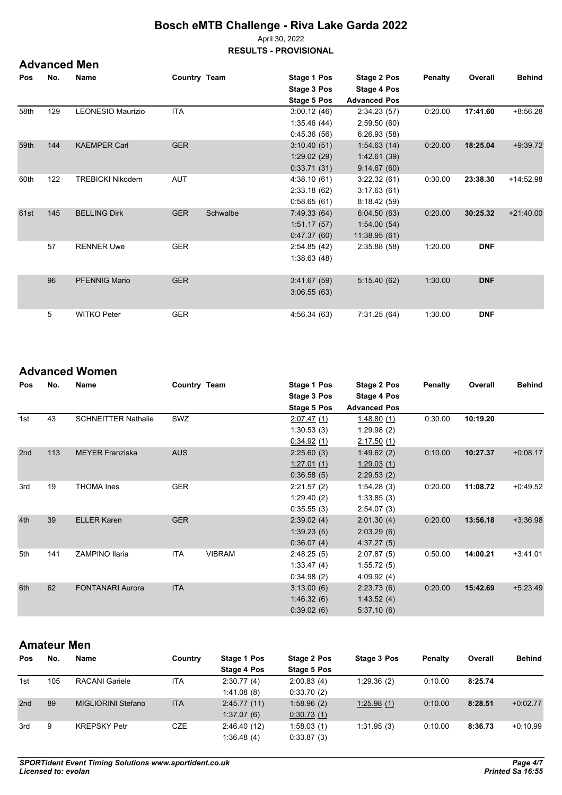April 30, 2022

**RESULTS - PROVISIONAL**

**Advanced Men** 

| Pos  | No. | <b>Name</b>             | Country Team |          | Stage 1 Pos  | Stage 2 Pos         | <b>Penalty</b> | Overall    | <b>Behind</b> |
|------|-----|-------------------------|--------------|----------|--------------|---------------------|----------------|------------|---------------|
|      |     |                         |              |          | Stage 3 Pos  | Stage 4 Pos         |                |            |               |
|      |     |                         |              |          | Stage 5 Pos  | <b>Advanced Pos</b> |                |            |               |
| 58th | 129 | LEONESIO Maurizio       | <b>ITA</b>   |          | 3.00.12(46)  | 2:34.23(57)         | 0.20.00        | 17:41.60   | $+8.56.28$    |
|      |     |                         |              |          | 1:35.46(44)  | 2:59.50(60)         |                |            |               |
|      |     |                         |              |          | 0.45.36(56)  | 6:26.93(58)         |                |            |               |
| 59th | 144 | <b>KAEMPER Carl</b>     | <b>GER</b>   |          | 3:10.40(51)  | 1:54.63(14)         | 0.20.00        | 18:25.04   | $+9.39.72$    |
|      |     |                         |              |          | 1:29.02(29)  | 1.42.61(39)         |                |            |               |
|      |     |                         |              |          | 0.33.71(31)  | 9:14.67(60)         |                |            |               |
| 60th | 122 | <b>TREBICKI Nikodem</b> | AUT          |          | 4:38.10(61)  | 3.22.32(61)         | 0:30.00        | 23:38.30   | +14:52.98     |
|      |     |                         |              |          | 2:33.18(62)  | 3:17.63(61)         |                |            |               |
|      |     |                         |              |          | 0.58.65(61)  | 8:18.42(59)         |                |            |               |
| 61st | 145 | <b>BELLING Dirk</b>     | <b>GER</b>   | Schwalbe | 7:49.33(64)  | 6:04.50(63)         | 0.20.00        | 30:25.32   | $+21:40.00$   |
|      |     |                         |              |          | 1.51.17(57)  | 1.54.00(54)         |                |            |               |
|      |     |                         |              |          | 0.47.37(60)  | 11:38.95(61)        |                |            |               |
|      | 57  | <b>RENNER Uwe</b>       | <b>GER</b>   |          | 2:54.85(42)  | 2:35.88(58)         | 1:20.00        | <b>DNF</b> |               |
|      |     |                         |              |          | 1.38.63(48)  |                     |                |            |               |
|      |     |                         |              |          |              |                     |                |            |               |
|      | 96  | <b>PFENNIG Mario</b>    | <b>GER</b>   |          | 3.41.67(59)  | 5:15.40(62)         | 1:30.00        | <b>DNF</b> |               |
|      |     |                         |              |          | 3.06.55(63)  |                     |                |            |               |
|      |     |                         |              |          |              |                     |                |            |               |
|      | 5   | <b>WITKO Peter</b>      | <b>GER</b>   |          | 4:56.34 (63) | 7:31.25(64)         | 1:30.00        | <b>DNF</b> |               |

### **Advanced Women**

| Pos | No. | Name                       | Country Team |               | Stage 1 Pos | Stage 2 Pos         | Penalty | Overall  | <b>Behind</b> |
|-----|-----|----------------------------|--------------|---------------|-------------|---------------------|---------|----------|---------------|
|     |     |                            |              |               | Stage 3 Pos | Stage 4 Pos         |         |          |               |
|     |     |                            |              |               | Stage 5 Pos | <b>Advanced Pos</b> |         |          |               |
| 1st | 43  | <b>SCHNEITTER Nathalie</b> | <b>SWZ</b>   |               | 2.07.47(1)  | 1.48.80(1)          | 0:30.00 | 10:19.20 |               |
|     |     |                            |              |               | 1:30.53(3)  | 1.29.98(2)          |         |          |               |
|     |     |                            |              |               | 0.34.92(1)  | 2:17.50(1)          |         |          |               |
| 2nd | 113 | <b>MEYER Franziska</b>     | <b>AUS</b>   |               | 2:25.60(3)  | 1.49.62(2)          | 0:10.00 | 10:27.37 | $+0.08.17$    |
|     |     |                            |              |               | 1:27.01(1)  | 1:29.03(1)          |         |          |               |
|     |     |                            |              |               | 0.36.58(5)  | 2:29.53(2)          |         |          |               |
| 3rd | 19  | <b>THOMA</b> Ines          | <b>GER</b>   |               | 2:21.57(2)  | 1:54.28(3)          | 0:20.00 | 11:08.72 | $+0.49.52$    |
|     |     |                            |              |               | 1:29.40(2)  | 1:33.85(3)          |         |          |               |
|     |     |                            |              |               | 0:35.55(3)  | 2:54.07(3)          |         |          |               |
| 4th | 39  | <b>ELLER Karen</b>         | <b>GER</b>   |               | 2:39.02(4)  | 2:01.30(4)          | 0:20.00 | 13:56.18 | $+3.36.98$    |
|     |     |                            |              |               | 1.39.23(5)  | 2:03.29(6)          |         |          |               |
|     |     |                            |              |               | 0:36.07(4)  | 4:37.27(5)          |         |          |               |
| 5th | 141 | <b>ZAMPINO Ilaria</b>      | <b>ITA</b>   | <b>VIBRAM</b> | 2:48.25(5)  | 2:07.87(5)          | 0:50.00 | 14:00.21 | $+3:41.01$    |
|     |     |                            |              |               | 1:33.47(4)  | 1:55.72(5)          |         |          |               |
|     |     |                            |              |               | 0.34.98(2)  | 4:09.92(4)          |         |          |               |
| 6th | 62  | <b>FONTANARI Aurora</b>    | <b>ITA</b>   |               | 3:13.00(6)  | 2:23.73(6)          | 0:20.00 | 15:42.69 | $+5.23.49$    |
|     |     |                            |              |               | 1.46.32(6)  | 1.43.52(4)          |         |          |               |
|     |     |                            |              |               | 0.39.02(6)  | 5:37.10(6)          |         |          |               |

### **Amateur Men**

| Pos | No. | Name                | Country    | Stage 1 Pos | Stage 2 Pos | Stage 3 Pos | <b>Penalty</b> | Overall | <b>Behind</b> |
|-----|-----|---------------------|------------|-------------|-------------|-------------|----------------|---------|---------------|
|     |     |                     |            | Stage 4 Pos | Stage 5 Pos |             |                |         |               |
| 1st | 105 | RACANI Gariele      | <b>ITA</b> | 2:30.77(4)  | 2:00.83(4)  | 1:29.36(2)  | 0:10.00        | 8:25.74 |               |
|     |     |                     |            | 1.41.08(8)  | 0:33.70(2)  |             |                |         |               |
| 2nd | 89  | MIGLIORINI Stefano  | <b>ITA</b> | 2.45.77(11) | 1.58.96(2)  | 1:25.98(1)  | 0:10.00        | 8:28.51 | $+0.02.77$    |
|     |     |                     |            | 1.37.07(6)  | 0.30.73(1)  |             |                |         |               |
| 3rd | 9   | <b>KREPSKY Petr</b> | CZE        | 2.46.40(12) | 1.58.03(1)  | 1:31.95(3)  | 0:10.00        | 8:36.73 | $+0.10.99$    |
|     |     |                     |            | 1:36.48(4)  | 0.33.87(3)  |             |                |         |               |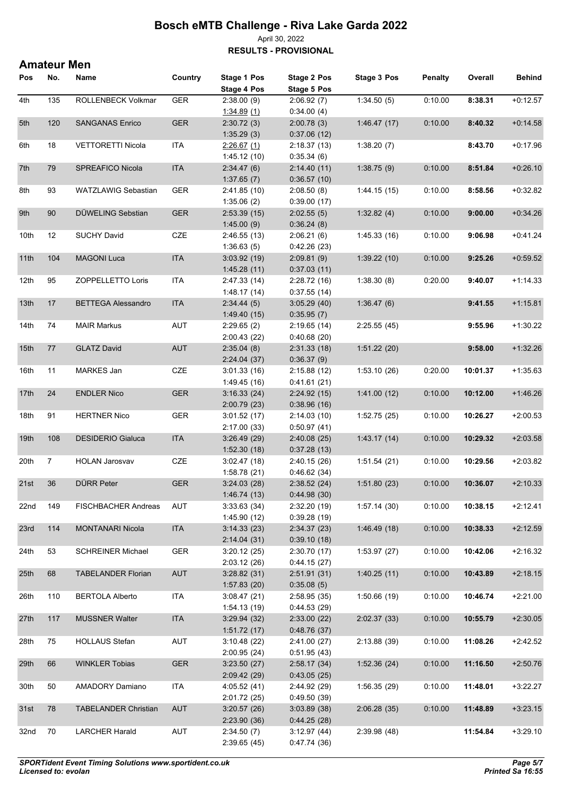#### April 30, 2022 **RESULTS - PROVISIONAL**

**Amateur Men** 

| Pos              | No.            | Name                        | Country    | Stage 1 Pos  | Stage 2 Pos  | <b>Stage 3 Pos</b> | <b>Penalty</b> | Overall  | <b>Behind</b> |
|------------------|----------------|-----------------------------|------------|--------------|--------------|--------------------|----------------|----------|---------------|
|                  |                |                             |            | Stage 4 Pos  | Stage 5 Pos  |                    |                |          |               |
| 4th              | 135            | ROLLENBECK Volkmar          | <b>GER</b> | 2:38.00(9)   | 2:06.92(7)   | 1:34.50(5)         | 0:10.00        | 8:38.31  | $+0:12.57$    |
|                  |                |                             |            | 1.34.89(1)   | 0.34.00(4)   |                    |                |          |               |
| 5th              | 120            | <b>SANGANAS Enrico</b>      | <b>GER</b> | 2:30.72(3)   | 2:00.78(3)   | 1.46.47(17)        | 0:10.00        | 8:40.32  | $+0.14.58$    |
|                  |                |                             |            | 1:35.29(3)   | 0.37.06(12)  |                    |                |          |               |
| 6th              | 18             | <b>VETTORETTI Nicola</b>    | <b>ITA</b> | 2.26.67(1)   | 2:18.37(13)  | 1:38.20(7)         |                | 8:43.70  | $+0.17.96$    |
|                  |                |                             |            | 1.45.12(10)  | 0.35.34(6)   |                    |                |          |               |
| 7th              | 79             | SPREAFICO Nicola            | <b>ITA</b> | 2:34.47(6)   | 2:14.40(11)  | 1:38.75(9)         | 0:10.00        | 8:51.84  | $+0.26.10$    |
|                  |                |                             |            | 1:37.65(7)   | 0.36.57(10)  |                    |                |          |               |
| 8th              | 93             | <b>WATZLAWIG Sebastian</b>  | <b>GER</b> | 2:41.85(10)  | 2:08.50(8)   | 1:44.15(15)        | 0:10.00        | 8:58.56  | $+0.32.82$    |
|                  |                |                             |            | 1:35.06(2)   | 0.39.00(17)  |                    |                |          |               |
| 9th              | 90             | DÜWELING Sebstian           | <b>GER</b> | 2:53.39(15)  | 2:02.55(5)   | 1:32.82(4)         | 0:10.00        | 9:00.00  | $+0.34.26$    |
|                  |                |                             |            | 1:45.00(9)   | 0:36.24(8)   |                    |                |          |               |
| 10th             | 12             | <b>SUCHY David</b>          | CZE        | 2:46.55(13)  | 2:06.21(6)   | 1:45.33(16)        | 0:10.00        | 9:06.98  | $+0.41.24$    |
|                  |                |                             |            | 1:36.63(5)   | 0.42.26(23)  |                    |                |          |               |
| 11th             | 104            | <b>MAGONI Luca</b>          | <b>ITA</b> | 3.03.92(19)  | 2:09.81(9)   | 1:39.22(10)        | 0:10.00        | 9:25.26  | $+0.59.52$    |
|                  |                |                             |            | 1.45.28(11)  | 0.37.03(11)  |                    |                |          |               |
| 12th             | 95             | ZOPPELLETTO Loris           | <b>ITA</b> | 2:47.33 (14) | 2:28.72(16)  | 1:38.30(8)         | 0.20.00        | 9:40.07  | $+1:14.33$    |
|                  |                |                             |            | 1.48.17(14)  | 0:37.55(14)  |                    |                |          |               |
| 13th             | 17             | <b>BETTEGA Alessandro</b>   | <b>ITA</b> | 2:34.44(5)   | 3:05.29(40)  | 1:36.47(6)         |                | 9:41.55  | $+1:15.81$    |
|                  |                |                             |            |              |              |                    |                |          |               |
| 14th             | 74             | <b>MAIR Markus</b>          | <b>AUT</b> | 1.49.40(15)  | 0.35.95(7)   | 2:25.55(45)        |                | 9:55.96  | $+1:30.22$    |
|                  |                |                             |            | 2:29.65(2)   | 2:19.65(14)  |                    |                |          |               |
|                  |                |                             |            | 2:00.43(22)  | 0.40.68(20)  |                    |                |          |               |
| 15th             | 77             | <b>GLATZ David</b>          | <b>AUT</b> | 2:35.04(8)   | 2:31.33(18)  | 1:51.22(20)        |                | 9:58.00  | $+1:32.26$    |
|                  |                |                             |            | 2:24.04(37)  | 0.36.37(9)   |                    |                |          |               |
| 16th             | 11             | MARKES Jan                  | CZE        | 3:01.33(16)  | 2:15.88(12)  | 1:53.10(26)        | 0:20.00        | 10:01.37 | $+1:35.63$    |
|                  |                |                             |            | 1.49.45(16)  | 0.41.61(21)  |                    |                |          |               |
| 17th             | 24             | <b>ENDLER Nico</b>          | <b>GER</b> | 3.16.33(24)  | 2:24.92(15)  | 1:41.00(12)        | 0:10.00        | 10:12.00 | $+1.46.26$    |
|                  |                |                             |            | 2:00.79(23)  | 0.38.96(16)  |                    |                |          |               |
| 18th             | 91             | <b>HERTNER Nico</b>         | <b>GER</b> | 3:01.52(17)  | 2:14.03(10)  | 1:52.75(25)        | 0:10.00        | 10:26.27 | $+2:00.53$    |
|                  |                |                             |            | 2:17.00(33)  | 0:50.97(41)  |                    |                |          |               |
| 19th             | 108            | <b>DESIDERIO Gialuca</b>    | <b>ITA</b> | 3.26.49(29)  | 2:40.08(25)  | 1.43.17(14)        | 0:10.00        | 10:29.32 | $+2:03.58$    |
|                  |                |                             |            | 1:52.30(18)  | 0.37.28(13)  |                    |                |          |               |
| 20th             | $\overline{7}$ | <b>HOLAN Jarosvav</b>       | CZE        | 3:02.47(18)  | 2:40.15(26)  | 1:51.54(21)        | 0:10.00        | 10:29.56 | $+2:03.82$    |
|                  |                |                             |            | 1:58.78(21)  | 0.46.62(34)  |                    |                |          |               |
| 21st             | 36             | <b>DÜRR Peter</b>           | <b>GER</b> | 3:24.03(28)  | 2:38.52(24)  | 1:51.80(23)        | 0:10.00        | 10:36.07 | $+2:10.33$    |
|                  |                |                             |            | 1.46.74(13)  | 0.44.98(30)  |                    |                |          |               |
| 22 <sub>nd</sub> | 149            | FISCHBACHER Andreas         | <b>AUT</b> | 3.33.63(34)  | 2:32.20 (19) | 1.57.14(30)        | 0:10.00        | 10:38.15 | $+2:12.41$    |
|                  |                |                             |            | 1.45.90(12)  | 0.39.28(19)  |                    |                |          |               |
| 23rd             | 114            | <b>MONTANARI Nicola</b>     | <b>ITA</b> | 3.14.33(23)  | 2.34.37(23)  | 1.46.49(18)        | 0:10.00        | 10:38.33 | $+2:12.59$    |
|                  |                |                             |            | 2.14.04(31)  | 0.39.10(18)  |                    |                |          |               |
| 24th             | 53             | <b>SCHREINER Michael</b>    | GER        | 3:20.12(25)  | 2:30.70(17)  | 1:53.97(27)        | 0:10.00        | 10:42.06 | $+2:16.32$    |
|                  |                |                             |            | 2:03.12(26)  | 0.44.15(27)  |                    |                |          |               |
| 25th             | 68             | <b>TABELANDER Florian</b>   | <b>AUT</b> | 3.28.82(31)  | 2.51.91(31)  | 1:40.25(11)        | 0:10.00        | 10:43.89 | $+2:18.15$    |
|                  |                |                             |            | 1:57.83(20)  | 0.35.08(5)   |                    |                |          |               |
| 26th             | 110            | <b>BERTOLA Alberto</b>      | <b>ITA</b> | 3.08.47(21)  | 2:58.95(35)  | 1:50.66(19)        | 0:10.00        | 10:46.74 | $+2:21.00$    |
|                  |                |                             |            | 1.54.13(19)  | 0.44.53(29)  |                    |                |          |               |
| 27th             | 117            | <b>MUSSNER Walter</b>       | <b>ITA</b> | 3.29.94(32)  | 2:33.00(22)  | 2.02.37(33)        | 0:10.00        | 10:55.79 | $+2:30.05$    |
|                  |                |                             |            | 1:51.72(17)  | 0.48.76(37)  |                    |                |          |               |
| 28th             | 75             | <b>HOLLAUS Stefan</b>       | AUT        | 3:10.48(22)  | 2:41.00 (27) | 2:13.88 (39)       | 0:10.00        | 11:08.26 | $+2:42.52$    |
|                  |                |                             |            | 2:00.95(24)  | 0.51.95(43)  |                    |                |          |               |
| 29th             | 66             | <b>WINKLER Tobias</b>       | <b>GER</b> | 3:23.50(27)  | 2:58.17(34)  | 1.52.36(24)        | 0:10.00        | 11:16.50 | $+2:50.76$    |
|                  |                |                             |            | 2.09.42(29)  | 0.43.05(25)  |                    |                |          |               |
| 30th             | 50             | AMADORY Damiano             | ITA        | 4:05.52 (41) | 2:44.92 (29) | 1:56.35(29)        | 0:10.00        | 11:48.01 | $+3:22.27$    |
|                  |                |                             |            | 2:01.72 (25) | 0.49.50(39)  |                    |                |          |               |
| 31st             | 78             | <b>TABELANDER Christian</b> | <b>AUT</b> | 3:20.57(26)  | 3.03.89(38)  | 2:06.28(35)        | 0:10.00        | 11:48.89 | $+3:23.15$    |
|                  |                |                             |            | 2:23.90(36)  | 0.44.25(28)  |                    |                |          |               |
| 32nd             | 70             | <b>LARCHER Harald</b>       | AUT        | 2:34.50(7)   | 3.12.97(44)  | 2:39.98 (48)       |                | 11:54.84 | $+3:29.10$    |
|                  |                |                             |            | 2:39.65(45)  | 0.47.74(36)  |                    |                |          |               |
|                  |                |                             |            |              |              |                    |                |          |               |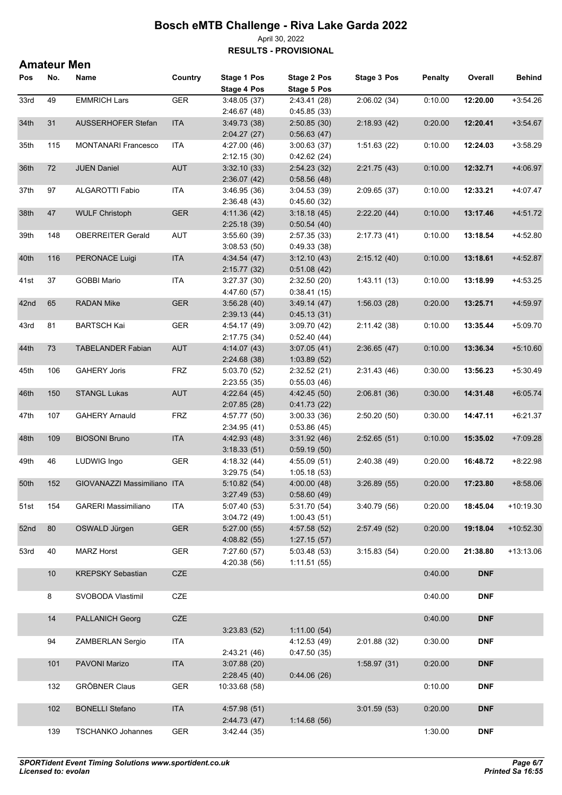#### April 30, 2022 **RESULTS - PROVISIONAL**

**Amateur Men** 

| Pos  | No. | Name                        | Country    | Stage 1 Pos                  | <b>Stage 2 Pos</b>          | Stage 3 Pos  | <b>Penalty</b> | Overall    | <b>Behind</b> |
|------|-----|-----------------------------|------------|------------------------------|-----------------------------|--------------|----------------|------------|---------------|
|      |     |                             |            | <b>Stage 4 Pos</b>           | <b>Stage 5 Pos</b>          |              |                |            |               |
| 33rd | 49  | <b>EMMRICH Lars</b>         | <b>GER</b> | 3.48.05(37)                  | 2.43.41 (28)                | 2:06.02(34)  | 0:10.00        | 12:20.00   | $+3:54.26$    |
|      | 31  |                             |            | 2.46.67(48)                  | 0.45.85(33)                 |              | 0.20.00        |            |               |
| 34th |     | <b>AUSSERHOFER Stefan</b>   | <b>ITA</b> | 3.49.73 (38)<br>2:04.27(27)  | 2:50.85(30)<br>0.56.63(47)  | 2:18.93(42)  |                | 12:20.41   | $+3.54.67$    |
| 35th | 115 | <b>MONTANARI Francesco</b>  | ITA        | 4:27.00 (46)                 | 3:00.63(37)                 | 1:51.63(22)  | 0:10.00        | 12:24.03   | $+3:58.29$    |
|      |     |                             |            | 2:12.15(30)                  | 0.42.62(24)                 |              |                |            |               |
| 36th | 72  | <b>JUEN Daniel</b>          | <b>AUT</b> | 3.32.10(33)                  | 2.54.23(32)                 | 2.21.75(43)  | 0.10.00        | 12:32.71   | $+4.06.97$    |
|      |     |                             |            | 2:36.07(42)                  | 0:58.56(48)                 |              |                |            |               |
| 37th | 97  | ALGAROTTI Fabio             | ITA        | 3.46.95(36)                  | 3.04.53(39)                 | 2:09.65 (37) | 0:10.00        | 12:33.21   | +4:07.47      |
|      |     |                             |            | 2.36.48 (43)                 | 0.45.60(32)                 |              |                |            |               |
| 38th | 47  | <b>WULF Christoph</b>       | <b>GER</b> | 4:11.36 (42)                 | 3.18.18(45)                 | 2:22.20(44)  | 0.10.00        | 13:17.46   | $+4.51.72$    |
|      |     |                             |            | 2:25.18(39)                  | 0.50.54(40)                 |              |                |            |               |
| 39th | 148 | <b>OBERREITER Gerald</b>    | AUT        | 3:55.60(39)                  | 2:57.35(33)                 | 2:17.73 (41) | 0:10.00        | 13:18.54   | $+4:52.80$    |
|      |     |                             |            | 3:08.53(50)                  | 0.49.33(38)                 |              |                |            |               |
| 40th | 116 | PERONACE Luigi              | <b>ITA</b> | 4.34.54 (47)                 | 3.12.10(43)                 | 2:15.12(40)  | 0:10.00        | 13:18.61   | $+4:52.87$    |
|      |     |                             |            | 2:15.77(32)                  | 0.51.08(42)                 |              |                |            |               |
| 41st | 37  | <b>GOBBI Mario</b>          | <b>ITA</b> | 3.27.37(30)                  | 2:32.50(20)                 | 1.43.11(13)  | 0:10.00        | 13:18.99   | $+4:53.25$    |
|      |     |                             |            | 4:47.60 (57)                 | 0.38.41(15)                 |              |                |            |               |
| 42nd | 65  | <b>RADAN Mike</b>           | <b>GER</b> | 3.56.28(40)                  | 3.49.14(47)                 | 1:56.03(28)  | 0.20.00        | 13:25.71   | $+4.59.97$    |
|      |     |                             |            | 2.39.13(44)                  | 0.45.13(31)                 |              |                |            |               |
| 43rd | 81  | <b>BARTSCH Kai</b>          | <b>GER</b> | 4.54.17 (49)                 | 3:09.70(42)                 | 2:11.42 (38) | 0.10.00        | 13:35.44   | $+5:09.70$    |
| 44th | 73  | <b>TABELANDER Fabian</b>    | <b>AUT</b> | 2:17.75 (34)                 | 0.52.40(44)                 | 2:36.65(47)  | 0.10.00        | 13:36.34   | $+5:10.60$    |
|      |     |                             |            | 4:14.07 (43)<br>2:24.68 (38) | 3.07.05(41)<br>1:03.89(52)  |              |                |            |               |
| 45th | 106 | <b>GAHERY Joris</b>         | <b>FRZ</b> | 5:03.70 (52)                 | 2:32.52(21)                 | 2:31.43 (46) | 0:30.00        | 13:56.23   | $+5:30.49$    |
|      |     |                             |            | 2:23.55(35)                  | 0.55.03(46)                 |              |                |            |               |
| 46th | 150 | <b>STANGL Lukas</b>         | <b>AUT</b> | 4.22.64(45)                  | 4:42.45 (50)                | 2:06.81(36)  | 0.30.00        | 14:31.48   | $+6.05.74$    |
|      |     |                             |            | 2:07.85(28)                  | 0.41.73(22)                 |              |                |            |               |
| 47th | 107 | <b>GAHERY Arnauld</b>       | <b>FRZ</b> | 4:57.77 (50)                 | 3:00.33(36)                 | 2:50.20(50)  | 0:30.00        | 14:47.11   | $+6:21.37$    |
|      |     |                             |            | 2.34.95(41)                  | 0.53.86(45)                 |              |                |            |               |
| 48th | 109 | <b>BIOSONI Bruno</b>        | <b>ITA</b> | 4:42.93 (48)                 | 3.31.92(46)                 | 2:52.65(51)  | 0:10.00        | 15:35.02   | $+7:09.28$    |
|      |     |                             |            | 3:18.33(51)                  | 0.59.19(50)                 |              |                |            |               |
| 49th | 46  | LUDWIG Ingo                 | <b>GER</b> | 4:18.32 (44)                 | 4:55.09(51)                 | 2:40.38 (49) | 0:20.00        | 16:48.72   | $+8:22.98$    |
|      |     |                             |            | 3.29.75(54)                  | 1:05.18(53)                 |              |                |            |               |
| 50th | 152 | GIOVANAZZI Massimiliano ITA |            | 5.10.82(54)                  | 4:00.00(48)                 | 3:26.89(55)  | 0:20.00        | 17:23.80   | $+8.58.06$    |
|      |     |                             |            | 3:27.49(53)                  | 0.58.60(49)                 |              |                |            |               |
| 51st | 154 | <b>GARERI Massimiliano</b>  | ITA        | 5:07.40 (53)                 | 5:31.70 (54)                | 3:40.79(56)  | 0.20.00        | 18:45.04   | $+10.19.30$   |
| 52nd | 80  | OSWALD Jürgen               | <b>GER</b> | 3.04.72(49)                  | 1:00.43(51)<br>4:57.58 (52) |              |                |            | $+10.52.30$   |
|      |     |                             |            | 5:27.00(55)<br>4:08.82 (55)  | 1:27.15(57)                 | 2:57.49(52)  | 0:20.00        | 19:18.04   |               |
| 53rd | 40  | <b>MARZ Horst</b>           | <b>GER</b> | 7:27.60 (57)                 | 5:03.48 (53)                | 3:15.83(54)  | 0.20.00        | 21:38.80   | $+13:13.06$   |
|      |     |                             |            | 4:20.38(56)                  | 1:11.51(55)                 |              |                |            |               |
|      | 10  | <b>KREPSKY Sebastian</b>    | CZE        |                              |                             |              | 0.40.00        | <b>DNF</b> |               |
|      |     |                             |            |                              |                             |              |                |            |               |
|      | 8   | SVOBODA Vlastimil           | CZE        |                              |                             |              | 0:40.00        | <b>DNF</b> |               |
|      |     |                             |            |                              |                             |              |                |            |               |
|      | 14  | <b>PALLANICH Georg</b>      | CZE        |                              |                             |              | 0.40.00        | <b>DNF</b> |               |
|      |     |                             |            | 3:23.83(52)                  | 1:11.00(54)                 |              |                |            |               |
|      | 94  | ZAMBERLAN Sergio            | ITA        |                              | 4:12.53 (49)                | 2:01.88 (32) | 0.30.00        | <b>DNF</b> |               |
|      |     |                             |            | 2:43.21 (46)                 | 0.47.50(35)                 |              |                |            |               |
|      | 101 | PAVONI Marizo               | <b>ITA</b> | 3.07.88(20)                  |                             | 1.58.97(31)  | 0.20.00        | <b>DNF</b> |               |
|      |     |                             |            | 2:28.45(40)                  | 0.44.06(26)                 |              |                |            |               |
|      | 132 | <b>GRÖBNER Claus</b>        | <b>GER</b> | 10:33.68 (58)                |                             |              | 0.10.00        | <b>DNF</b> |               |
|      |     |                             |            |                              |                             |              |                |            |               |
|      | 102 | <b>BONELLI Stefano</b>      | <b>ITA</b> | 4:57.98 (51)<br>2.44.73 (47) | 1:14.68(56)                 | 3:01.59(53)  | 0.20.00        | <b>DNF</b> |               |
|      | 139 | <b>TSCHANKO Johannes</b>    | <b>GER</b> | 3.42.44(35)                  |                             |              | 1:30.00        | <b>DNF</b> |               |
|      |     |                             |            |                              |                             |              |                |            |               |